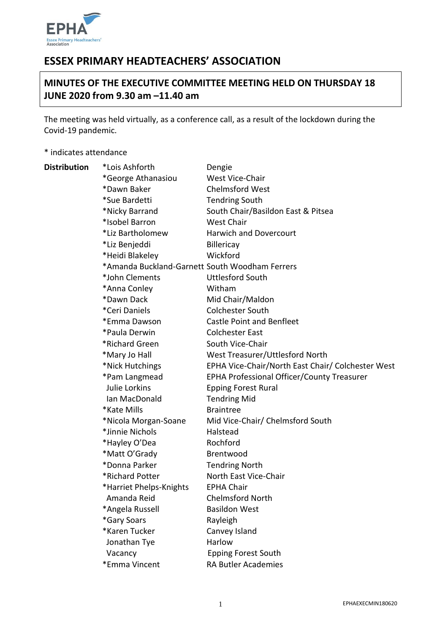

# **ESSEX PRIMARY HEADTEACHERS' ASSOCIATION**

# **MINUTES OF THE EXECUTIVE COMMITTEE MEETING HELD ON THURSDAY 18 JUNE 2020 from 9.30 am –11.40 am**

The meeting was held virtually, as a conference call, as a result of the lockdown during the Covid-19 pandemic.

\* indicates attendance

| <b>Distribution</b> | *Lois Ashforth                                 | Dengie                                            |
|---------------------|------------------------------------------------|---------------------------------------------------|
|                     | *George Athanasiou                             | West Vice-Chair                                   |
|                     | *Dawn Baker                                    | <b>Chelmsford West</b>                            |
|                     | *Sue Bardetti                                  | <b>Tendring South</b>                             |
|                     | *Nicky Barrand                                 | South Chair/Basildon East & Pitsea                |
|                     | *Isobel Barron                                 | <b>West Chair</b>                                 |
|                     | *Liz Bartholomew                               | <b>Harwich and Dovercourt</b>                     |
|                     | *Liz Benjeddi                                  | <b>Billericay</b>                                 |
|                     | *Heidi Blakeley                                | Wickford                                          |
|                     | *Amanda Buckland-Garnett South Woodham Ferrers |                                                   |
|                     | *John Clements                                 | <b>Uttlesford South</b>                           |
|                     | *Anna Conley                                   | Witham                                            |
|                     | *Dawn Dack                                     | Mid Chair/Maldon                                  |
|                     | *Ceri Daniels                                  | Colchester South                                  |
|                     | *Emma Dawson                                   | <b>Castle Point and Benfleet</b>                  |
|                     | *Paula Derwin                                  | <b>Colchester East</b>                            |
|                     | *Richard Green                                 | South Vice-Chair                                  |
|                     | *Mary Jo Hall                                  | West Treasurer/Uttlesford North                   |
|                     | *Nick Hutchings                                | EPHA Vice-Chair/North East Chair/ Colchester West |
|                     | *Pam Langmead                                  | EPHA Professional Officer/County Treasurer        |
|                     | Julie Lorkins                                  | <b>Epping Forest Rural</b>                        |
|                     | Ian MacDonald                                  | <b>Tendring Mid</b>                               |
|                     | *Kate Mills                                    | <b>Braintree</b>                                  |
|                     | *Nicola Morgan-Soane                           | Mid Vice-Chair/ Chelmsford South                  |
|                     | *Jinnie Nichols                                | Halstead                                          |
|                     | *Hayley O'Dea                                  | Rochford                                          |
|                     | *Matt O'Grady                                  | Brentwood                                         |
|                     | *Donna Parker                                  | <b>Tendring North</b>                             |
|                     | *Richard Potter                                | North East Vice-Chair                             |
|                     | *Harriet Phelps-Knights                        | <b>EPHA Chair</b>                                 |
|                     | Amanda Reid                                    | <b>Chelmsford North</b>                           |
|                     | *Angela Russell                                | <b>Basildon West</b>                              |
|                     | *Gary Soars                                    | Rayleigh                                          |
|                     | *Karen Tucker                                  | Canvey Island                                     |
|                     | Jonathan Tye                                   | Harlow                                            |
|                     | Vacancy                                        | <b>Epping Forest South</b>                        |
|                     | *Emma Vincent                                  | <b>RA Butler Academies</b>                        |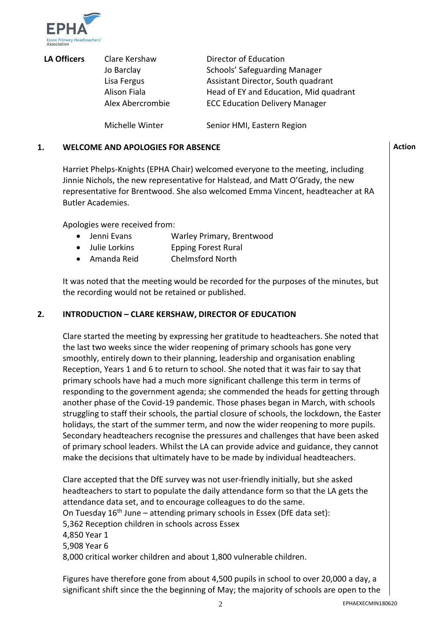

| <b>LA Officers</b> | Clare Kershaw    | Director of Education                  |
|--------------------|------------------|----------------------------------------|
|                    | Jo Barclay       | Schools' Safeguarding Manager          |
|                    | Lisa Fergus      | Assistant Director, South quadrant     |
|                    | Alison Fiala     | Head of EY and Education, Mid quadrant |
|                    | Alex Abercrombie | <b>ECC Education Delivery Manager</b>  |
|                    |                  |                                        |

Michelle Winter Senior HMI, Eastern Region

### **1. WELCOME AND APOLOGIES FOR ABSENCE**

Harriet Phelps-Knights (EPHA Chair) welcomed everyone to the meeting, including Jinnie Nichols, the new representative for Halstead, and Matt O'Grady, the new representative for Brentwood. She also welcomed Emma Vincent, headteacher at RA Butler Academies.

Apologies were received from:

- Jenni Evans Warley Primary, Brentwood
- Julie Lorkins Epping Forest Rural
- Amanda Reid Chelmsford North

It was noted that the meeting would be recorded for the purposes of the minutes, but the recording would not be retained or published.

# **2. INTRODUCTION – CLARE KERSHAW, DIRECTOR OF EDUCATION**

Clare started the meeting by expressing her gratitude to headteachers. She noted that the last two weeks since the wider reopening of primary schools has gone very smoothly, entirely down to their planning, leadership and organisation enabling Reception, Years 1 and 6 to return to school. She noted that it was fair to say that primary schools have had a much more significant challenge this term in terms of responding to the government agenda; she commended the heads for getting through another phase of the Covid-19 pandemic. Those phases began in March, with schools struggling to staff their schools, the partial closure of schools, the lockdown, the Easter holidays, the start of the summer term, and now the wider reopening to more pupils. Secondary headteachers recognise the pressures and challenges that have been asked of primary school leaders. Whilst the LA can provide advice and guidance, they cannot make the decisions that ultimately have to be made by individual headteachers.

Clare accepted that the DfE survey was not user-friendly initially, but she asked headteachers to start to populate the daily attendance form so that the LA gets the attendance data set, and to encourage colleagues to do the same. On Tuesday  $16<sup>th</sup>$  June – attending primary schools in Essex (DfE data set): 5,362 Reception children in schools across Essex 4,850 Year 1 5,908 Year 6 8,000 critical worker children and about 1,800 vulnerable children.

Figures have therefore gone from about 4,500 pupils in school to over 20,000 a day, a significant shift since the the beginning of May; the majority of schools are open to the **Action**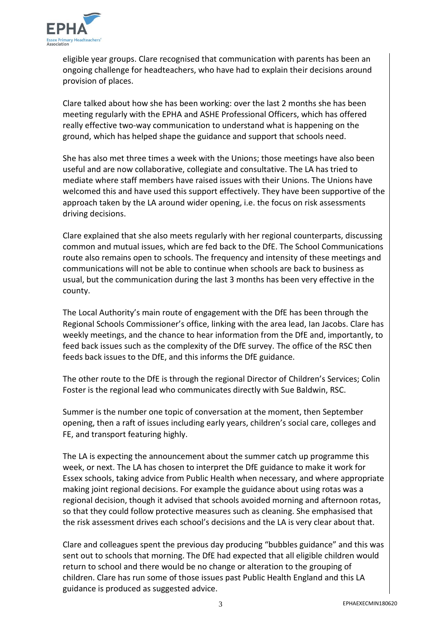

eligible year groups. Clare recognised that communication with parents has been an ongoing challenge for headteachers, who have had to explain their decisions around provision of places.

Clare talked about how she has been working: over the last 2 months she has been meeting regularly with the EPHA and ASHE Professional Officers, which has offered really effective two-way communication to understand what is happening on the ground, which has helped shape the guidance and support that schools need.

She has also met three times a week with the Unions; those meetings have also been useful and are now collaborative, collegiate and consultative. The LA has tried to mediate where staff members have raised issues with their Unions. The Unions have welcomed this and have used this support effectively. They have been supportive of the approach taken by the LA around wider opening, i.e. the focus on risk assessments driving decisions.

Clare explained that she also meets regularly with her regional counterparts, discussing common and mutual issues, which are fed back to the DfE. The School Communications route also remains open to schools. The frequency and intensity of these meetings and communications will not be able to continue when schools are back to business as usual, but the communication during the last 3 months has been very effective in the county.

The Local Authority's main route of engagement with the DfE has been through the Regional Schools Commissioner's office, linking with the area lead, Ian Jacobs. Clare has weekly meetings, and the chance to hear information from the DfE and, importantly, to feed back issues such as the complexity of the DfE survey. The office of the RSC then feeds back issues to the DfE, and this informs the DfE guidance.

The other route to the DfE is through the regional Director of Children's Services; Colin Foster is the regional lead who communicates directly with Sue Baldwin, RSC.

Summer is the number one topic of conversation at the moment, then September opening, then a raft of issues including early years, children's social care, colleges and FE, and transport featuring highly.

The LA is expecting the announcement about the summer catch up programme this week, or next. The LA has chosen to interpret the DfE guidance to make it work for Essex schools, taking advice from Public Health when necessary, and where appropriate making joint regional decisions. For example the guidance about using rotas was a regional decision, though it advised that schools avoided morning and afternoon rotas, so that they could follow protective measures such as cleaning. She emphasised that the risk assessment drives each school's decisions and the LA is very clear about that.

Clare and colleagues spent the previous day producing "bubbles guidance" and this was sent out to schools that morning. The DfE had expected that all eligible children would return to school and there would be no change or alteration to the grouping of children. Clare has run some of those issues past Public Health England and this LA guidance is produced as suggested advice.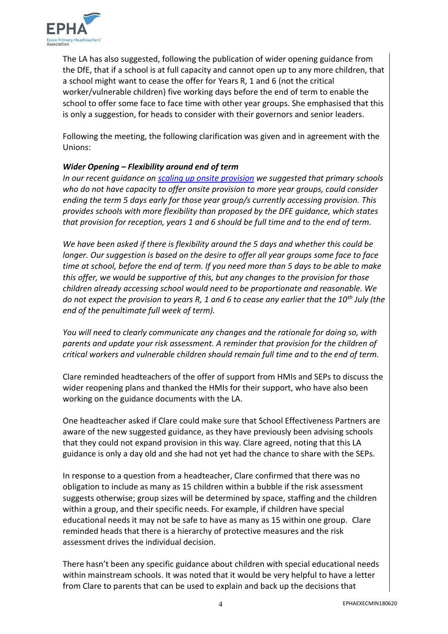

The LA has also suggested, following the publication of wider opening guidance from the DfE, that if a school is at full capacity and cannot open up to any more children, that a school might want to cease the offer for Years R, 1 and 6 (not the critical worker/vulnerable children) five working days before the end of term to enable the school to offer some face to face time with other year groups. She emphasised that this is only a suggestion, for heads to consider with their governors and senior leaders.

Following the meeting, the following clarification was given and in agreement with the Unions:

### *Wider Opening – Flexibility around end of term*

*In our recent guidance on [scaling up onsite provision](https://eur02.safelinks.protection.outlook.com/?url=https%3A%2F%2Fschools.essex.gov.uk%2Fadmin%2FCOVID-19%2FDocuments%2FScaling%2520up%2520onsite%2520provision%2520guidance%2520Final.docx&data=02%7C01%7C%7C6622516b8b7f4e629a4008d81681cec5%7Ca8b4324f155c4215a0f17ed8cc9a992f%7C0%7C0%7C637284094085920399&sdata=LtFmV%2BOabtjGwSPSD%2Bqqfeyv1txmMr4q5JmfPvgG7qM%3D&reserved=0) we suggested that primary schools who do not have capacity to offer onsite provision to more year groups, could consider ending the term 5 days early for those year group/s currently accessing provision. This provides schools with more flexibility than proposed by the DFE guidance, which states that provision for reception, years 1 and 6 should be full time and to the end of term.*

*We have been asked if there is flexibility around the 5 days and whether this could be longer. Our suggestion is based on the desire to offer all year groups some face to face time at school, before the end of term. If you need more than 5 days to be able to make this offer, we would be supportive of this, but any changes to the provision for those children already accessing school would need to be proportionate and reasonable. We do not expect the provision to years R, 1 and 6 to cease any earlier that the 10th July (the end of the penultimate full week of term).*

*You will need to clearly communicate any changes and the rationale for doing so, with parents and update your risk assessment. A reminder that provision for the children of critical workers and vulnerable children should remain full time and to the end of term.*

Clare reminded headteachers of the offer of support from HMIs and SEPs to discuss the wider reopening plans and thanked the HMIs for their support, who have also been working on the guidance documents with the LA.

One headteacher asked if Clare could make sure that School Effectiveness Partners are aware of the new suggested guidance, as they have previously been advising schools that they could not expand provision in this way. Clare agreed, noting that this LA guidance is only a day old and she had not yet had the chance to share with the SEPs.

In response to a question from a headteacher, Clare confirmed that there was no obligation to include as many as 15 children within a bubble if the risk assessment suggests otherwise; group sizes will be determined by space, staffing and the children within a group, and their specific needs. For example, if children have special educational needs it may not be safe to have as many as 15 within one group. Clare reminded heads that there is a hierarchy of protective measures and the risk assessment drives the individual decision.

There hasn't been any specific guidance about children with special educational needs within mainstream schools. It was noted that it would be very helpful to have a letter from Clare to parents that can be used to explain and back up the decisions that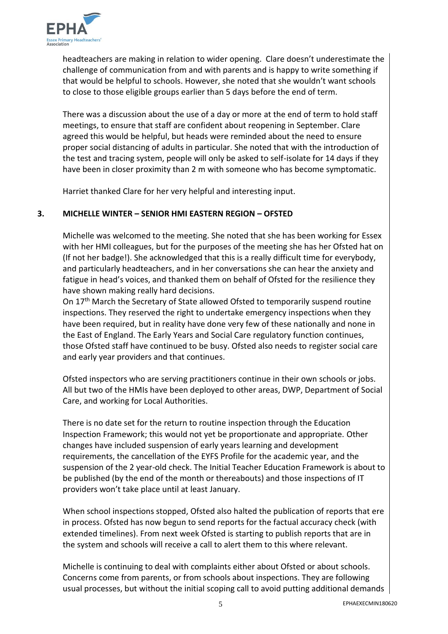

headteachers are making in relation to wider opening. Clare doesn't underestimate the challenge of communication from and with parents and is happy to write something if that would be helpful to schools. However, she noted that she wouldn't want schools to close to those eligible groups earlier than 5 days before the end of term.

There was a discussion about the use of a day or more at the end of term to hold staff meetings, to ensure that staff are confident about reopening in September. Clare agreed this would be helpful, but heads were reminded about the need to ensure proper social distancing of adults in particular. She noted that with the introduction of the test and tracing system, people will only be asked to self-isolate for 14 days if they have been in closer proximity than 2 m with someone who has become symptomatic.

Harriet thanked Clare for her very helpful and interesting input.

# **3. MICHELLE WINTER – SENIOR HMI EASTERN REGION – OFSTED**

Michelle was welcomed to the meeting. She noted that she has been working for Essex with her HMI colleagues, but for the purposes of the meeting she has her Ofsted hat on (If not her badge!). She acknowledged that this is a really difficult time for everybody, and particularly headteachers, and in her conversations she can hear the anxiety and fatigue in head's voices, and thanked them on behalf of Ofsted for the resilience they have shown making really hard decisions.

On 17<sup>th</sup> March the Secretary of State allowed Ofsted to temporarily suspend routine inspections. They reserved the right to undertake emergency inspections when they have been required, but in reality have done very few of these nationally and none in the East of England. The Early Years and Social Care regulatory function continues, those Ofsted staff have continued to be busy. Ofsted also needs to register social care and early year providers and that continues.

Ofsted inspectors who are serving practitioners continue in their own schools or jobs. All but two of the HMIs have been deployed to other areas, DWP, Department of Social Care, and working for Local Authorities.

There is no date set for the return to routine inspection through the Education Inspection Framework; this would not yet be proportionate and appropriate. Other changes have included suspension of early years learning and development requirements, the cancellation of the EYFS Profile for the academic year, and the suspension of the 2 year-old check. The Initial Teacher Education Framework is about to be published (by the end of the month or thereabouts) and those inspections of IT providers won't take place until at least January.

When school inspections stopped, Ofsted also halted the publication of reports that ere in process. Ofsted has now begun to send reports for the factual accuracy check (with extended timelines). From next week Ofsted is starting to publish reports that are in the system and schools will receive a call to alert them to this where relevant.

Michelle is continuing to deal with complaints either about Ofsted or about schools. Concerns come from parents, or from schools about inspections. They are following usual processes, but without the initial scoping call to avoid putting additional demands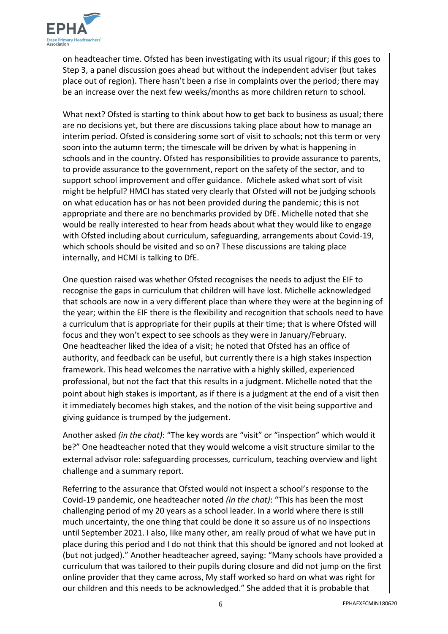

on headteacher time. Ofsted has been investigating with its usual rigour; if this goes to Step 3, a panel discussion goes ahead but without the independent adviser (but takes place out of region). There hasn't been a rise in complaints over the period; there may be an increase over the next few weeks/months as more children return to school.

What next? Ofsted is starting to think about how to get back to business as usual; there are no decisions yet, but there are discussions taking place about how to manage an interim period. Ofsted is considering some sort of visit to schools; not this term or very soon into the autumn term; the timescale will be driven by what is happening in schools and in the country. Ofsted has responsibilities to provide assurance to parents, to provide assurance to the government, report on the safety of the sector, and to support school improvement and offer guidance. Michele asked what sort of visit might be helpful? HMCI has stated very clearly that Ofsted will not be judging schools on what education has or has not been provided during the pandemic; this is not appropriate and there are no benchmarks provided by DfE. Michelle noted that she would be really interested to hear from heads about what they would like to engage with Ofsted including about curriculum, safeguarding, arrangements about Covid-19, which schools should be visited and so on? These discussions are taking place internally, and HCMI is talking to DfE.

One question raised was whether Ofsted recognises the needs to adjust the EIF to recognise the gaps in curriculum that children will have lost. Michelle acknowledged that schools are now in a very different place than where they were at the beginning of the year; within the EIF there is the flexibility and recognition that schools need to have a curriculum that is appropriate for their pupils at their time; that is where Ofsted will focus and they won't expect to see schools as they were in January/February. One headteacher liked the idea of a visit; he noted that Ofsted has an office of authority, and feedback can be useful, but currently there is a high stakes inspection framework. This head welcomes the narrative with a highly skilled, experienced professional, but not the fact that this results in a judgment. Michelle noted that the point about high stakes is important, as if there is a judgment at the end of a visit then it immediately becomes high stakes, and the notion of the visit being supportive and giving guidance is trumped by the judgement.

Another asked *(in the chat)*: "The key words are "visit" or "inspection" which would it be?" One headteacher noted that they would welcome a visit structure similar to the external advisor role: safeguarding processes, curriculum, teaching overview and light challenge and a summary report.

Referring to the assurance that Ofsted would not inspect a school's response to the Covid-19 pandemic, one headteacher noted *(in the chat)*: "This has been the most challenging period of my 20 years as a school leader. In a world where there is still much uncertainty, the one thing that could be done it so assure us of no inspections until September 2021. I also, like many other, am really proud of what we have put in place during this period and I do not think that this should be ignored and not looked at (but not judged)." Another headteacher agreed, saying: "Many schools have provided a curriculum that was tailored to their pupils during closure and did not jump on the first online provider that they came across, My staff worked so hard on what was right for our children and this needs to be acknowledged." She added that it is probable that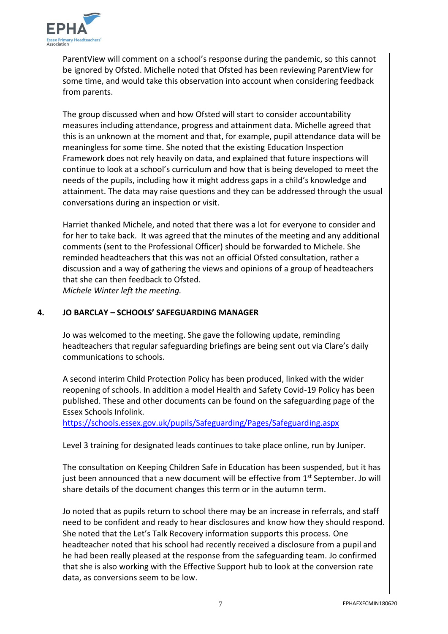

ParentView will comment on a school's response during the pandemic, so this cannot be ignored by Ofsted. Michelle noted that Ofsted has been reviewing ParentView for some time, and would take this observation into account when considering feedback from parents.

The group discussed when and how Ofsted will start to consider accountability measures including attendance, progress and attainment data. Michelle agreed that this is an unknown at the moment and that, for example, pupil attendance data will be meaningless for some time. She noted that the existing Education Inspection Framework does not rely heavily on data, and explained that future inspections will continue to look at a school's curriculum and how that is being developed to meet the needs of the pupils, including how it might address gaps in a child's knowledge and attainment. The data may raise questions and they can be addressed through the usual conversations during an inspection or visit.

Harriet thanked Michele, and noted that there was a lot for everyone to consider and for her to take back. It was agreed that the minutes of the meeting and any additional comments (sent to the Professional Officer) should be forwarded to Michele. She reminded headteachers that this was not an official Ofsted consultation, rather a discussion and a way of gathering the views and opinions of a group of headteachers that she can then feedback to Ofsted. *Michele Winter left the meeting.*

#### **4. JO BARCLAY – SCHOOLS' SAFEGUARDING MANAGER**

Jo was welcomed to the meeting. She gave the following update, reminding headteachers that regular safeguarding briefings are being sent out via Clare's daily communications to schools.

A second interim Child Protection Policy has been produced, linked with the wider reopening of schools. In addition a model Health and Safety Covid-19 Policy has been published. These and other documents can be found on the safeguarding page of the Essex Schools Infolink.

<https://schools.essex.gov.uk/pupils/Safeguarding/Pages/Safeguarding.aspx>

Level 3 training for designated leads continues to take place online, run by Juniper.

The consultation on Keeping Children Safe in Education has been suspended, but it has just been announced that a new document will be effective from  $1<sup>st</sup>$  September. Jo will share details of the document changes this term or in the autumn term.

Jo noted that as pupils return to school there may be an increase in referrals, and staff need to be confident and ready to hear disclosures and know how they should respond. She noted that the Let's Talk Recovery information supports this process. One headteacher noted that his school had recently received a disclosure from a pupil and he had been really pleased at the response from the safeguarding team. Jo confirmed that she is also working with the Effective Support hub to look at the conversion rate data, as conversions seem to be low.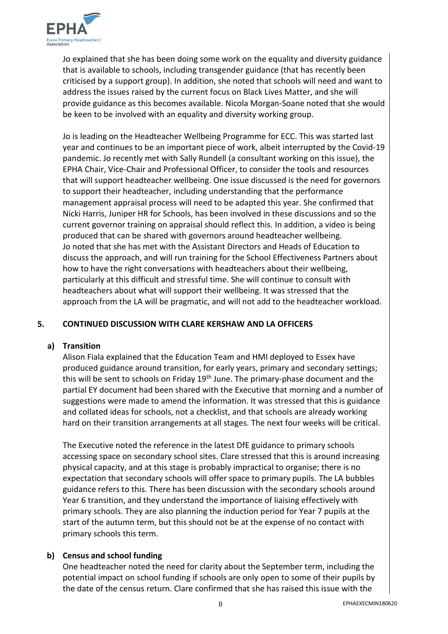

Jo explained that she has been doing some work on the equality and diversity guidance that is available to schools, including transgender guidance (that has recently been criticised by a support group). In addition, she noted that schools will need and want to address the issues raised by the current focus on Black Lives Matter, and she will provide guidance as this becomes available. Nicola Morgan-Soane noted that she would be keen to be involved with an equality and diversity working group.

Jo is leading on the Headteacher Wellbeing Programme for ECC. This was started last year and continues to be an important piece of work, albeit interrupted by the Covid-19 pandemic. Jo recently met with Sally Rundell (a consultant working on this issue), the EPHA Chair, Vice-Chair and Professional Officer, to consider the tools and resources that will support headteacher wellbeing. One issue discussed is the need for governors to support their headteacher, including understanding that the performance management appraisal process will need to be adapted this year. She confirmed that Nicki Harris, Juniper HR for Schools, has been involved in these discussions and so the current governor training on appraisal should reflect this. In addition, a video is being produced that can be shared with governors around headteacher wellbeing. Jo noted that she has met with the Assistant Directors and Heads of Education to discuss the approach, and will run training for the School Effectiveness Partners about how to have the right conversations with headteachers about their wellbeing, particularly at this difficult and stressful time. She will continue to consult with headteachers about what will support their wellbeing. It was stressed that the approach from the LA will be pragmatic, and will not add to the headteacher workload.

#### **5. CONTINUED DISCUSSION WITH CLARE KERSHAW AND LA OFFICERS**

#### **a) Transition**

Alison Fiala explained that the Education Team and HMI deployed to Essex have produced guidance around transition, for early years, primary and secondary settings; this will be sent to schools on Friday 19<sup>th</sup> June. The primary-phase document and the partial EY document had been shared with the Executive that morning and a number of suggestions were made to amend the information. It was stressed that this is guidance and collated ideas for schools, not a checklist, and that schools are already working hard on their transition arrangements at all stages. The next four weeks will be critical.

The Executive noted the reference in the latest DfE guidance to primary schools accessing space on secondary school sites. Clare stressed that this is around increasing physical capacity, and at this stage is probably impractical to organise; there is no expectation that secondary schools will offer space to primary pupils. The LA bubbles guidance refers to this. There has been discussion with the secondary schools around Year 6 transition, and they understand the importance of liaising effectively with primary schools. They are also planning the induction period for Year 7 pupils at the start of the autumn term, but this should not be at the expense of no contact with primary schools this term.

# **b) Census and school funding**

One headteacher noted the need for clarity about the September term, including the potential impact on school funding if schools are only open to some of their pupils by the date of the census return. Clare confirmed that she has raised this issue with the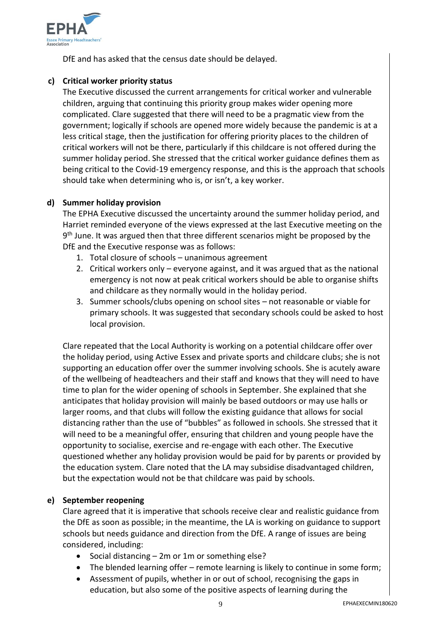

DfE and has asked that the census date should be delayed.

# **c) Critical worker priority status**

The Executive discussed the current arrangements for critical worker and vulnerable children, arguing that continuing this priority group makes wider opening more complicated. Clare suggested that there will need to be a pragmatic view from the government; logically if schools are opened more widely because the pandemic is at a less critical stage, then the justification for offering priority places to the children of critical workers will not be there, particularly if this childcare is not offered during the summer holiday period. She stressed that the critical worker guidance defines them as being critical to the Covid-19 emergency response, and this is the approach that schools should take when determining who is, or isn't, a key worker.

# **d) Summer holiday provision**

The EPHA Executive discussed the uncertainty around the summer holiday period, and Harriet reminded everyone of the views expressed at the last Executive meeting on the 9<sup>th</sup> June. It was argued then that three different scenarios might be proposed by the DfE and the Executive response was as follows:

- 1. Total closure of schools unanimous agreement
- 2. Critical workers only everyone against, and it was argued that as the national emergency is not now at peak critical workers should be able to organise shifts and childcare as they normally would in the holiday period.
- 3. Summer schools/clubs opening on school sites not reasonable or viable for primary schools. It was suggested that secondary schools could be asked to host local provision.

Clare repeated that the Local Authority is working on a potential childcare offer over the holiday period, using Active Essex and private sports and childcare clubs; she is not supporting an education offer over the summer involving schools. She is acutely aware of the wellbeing of headteachers and their staff and knows that they will need to have time to plan for the wider opening of schools in September. She explained that she anticipates that holiday provision will mainly be based outdoors or may use halls or larger rooms, and that clubs will follow the existing guidance that allows for social distancing rather than the use of "bubbles" as followed in schools. She stressed that it will need to be a meaningful offer, ensuring that children and young people have the opportunity to socialise, exercise and re-engage with each other. The Executive questioned whether any holiday provision would be paid for by parents or provided by the education system. Clare noted that the LA may subsidise disadvantaged children, but the expectation would not be that childcare was paid by schools.

# **e) September reopening**

Clare agreed that it is imperative that schools receive clear and realistic guidance from the DfE as soon as possible; in the meantime, the LA is working on guidance to support schools but needs guidance and direction from the DfE. A range of issues are being considered, including:

- Social distancing 2m or 1m or something else?
- The blended learning offer remote learning is likely to continue in some form;
- Assessment of pupils, whether in or out of school, recognising the gaps in education, but also some of the positive aspects of learning during the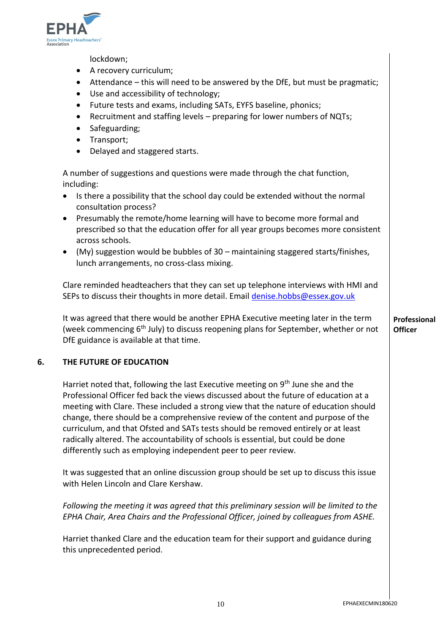

lockdown;

- A recovery curriculum;
- Attendance this will need to be answered by the DfE, but must be pragmatic;
- Use and accessibility of technology;
- Future tests and exams, including SATs, EYFS baseline, phonics;
- Recruitment and staffing levels preparing for lower numbers of NQTs;
- Safeguarding;
- Transport:
- Delayed and staggered starts.

A number of suggestions and questions were made through the chat function, including:

- Is there a possibility that the school day could be extended without the normal consultation process?
- Presumably the remote/home learning will have to become more formal and prescribed so that the education offer for all year groups becomes more consistent across schools.
- (My) suggestion would be bubbles of 30 maintaining staggered starts/finishes, lunch arrangements, no cross-class mixing.

Clare reminded headteachers that they can set up telephone interviews with HMI and SEPs to discuss their thoughts in more detail. Email [denise.hobbs@essex.gov.uk](mailto:denise.hobbs@essex.gov.uk)

It was agreed that there would be another EPHA Executive meeting later in the term (week commencing 6th July) to discuss reopening plans for September, whether or not DfE guidance is available at that time.

#### **6. THE FUTURE OF EDUCATION**

Harriet noted that, following the last Executive meeting on 9<sup>th</sup> June she and the Professional Officer fed back the views discussed about the future of education at a meeting with Clare. These included a strong view that the nature of education should change, there should be a comprehensive review of the content and purpose of the curriculum, and that Ofsted and SATs tests should be removed entirely or at least radically altered. The accountability of schools is essential, but could be done differently such as employing independent peer to peer review.

It was suggested that an online discussion group should be set up to discuss this issue with Helen Lincoln and Clare Kershaw.

*Following the meeting it was agreed that this preliminary session will be limited to the EPHA Chair, Area Chairs and the Professional Officer, joined by colleagues from ASHE.* 

Harriet thanked Clare and the education team for their support and guidance during this unprecedented period.

**Professional Officer**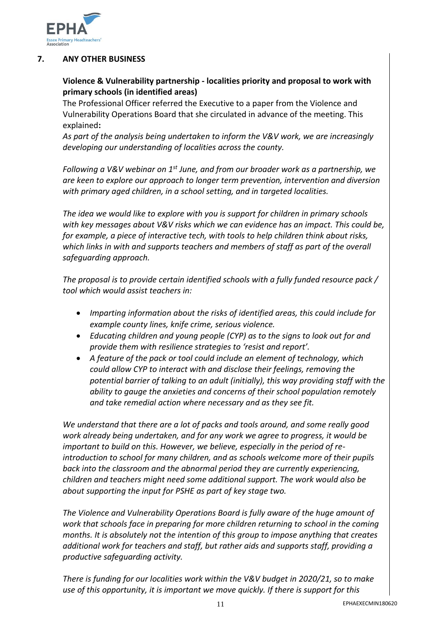

# **7. ANY OTHER BUSINESS**

# **Violence & Vulnerability partnership - localities priority and proposal to work with primary schools (in identified areas)**

The Professional Officer referred the Executive to a paper from the Violence and Vulnerability Operations Board that she circulated in advance of the meeting. This explained**:**

*As part of the analysis being undertaken to inform the V&V work, we are increasingly developing our understanding of localities across the county.* 

*Following a V&V webinar on 1st June, and from our broader work as a partnership, we are keen to explore our approach to longer term prevention, intervention and diversion with primary aged children, in a school setting, and in targeted localities.* 

*The idea we would like to explore with you is support for children in primary schools with key messages about V&V risks which we can evidence has an impact. This could be, for example, a piece of interactive tech, with tools to help children think about risks, which links in with and supports teachers and members of staff as part of the overall safeguarding approach.* 

*The proposal is to provide certain identified schools with a fully funded resource pack / tool which would assist teachers in:*

- *Imparting information about the risks of identified areas, this could include for example county lines, knife crime, serious violence.*
- *Educating children and young people (CYP) as to the signs to look out for and provide them with resilience strategies to 'resist and report'.*
- *A feature of the pack or tool could include an element of technology, which could allow CYP to interact with and disclose their feelings, removing the potential barrier of talking to an adult (initially), this way providing staff with the ability to gauge the anxieties and concerns of their school population remotely and take remedial action where necessary and as they see fit.*

*We understand that there are a lot of packs and tools around, and some really good work already being undertaken, and for any work we agree to progress, it would be important to build on this. However, we believe, especially in the period of reintroduction to school for many children, and as schools welcome more of their pupils back into the classroom and the abnormal period they are currently experiencing, children and teachers might need some additional support. The work would also be about supporting the input for PSHE as part of key stage two.* 

*The Violence and Vulnerability Operations Board is fully aware of the huge amount of work that schools face in preparing for more children returning to school in the coming months. It is absolutely not the intention of this group to impose anything that creates additional work for teachers and staff, but rather aids and supports staff, providing a productive safeguarding activity.* 

*There is funding for our localities work within the V&V budget in 2020/21, so to make use of this opportunity, it is important we move quickly. If there is support for this*